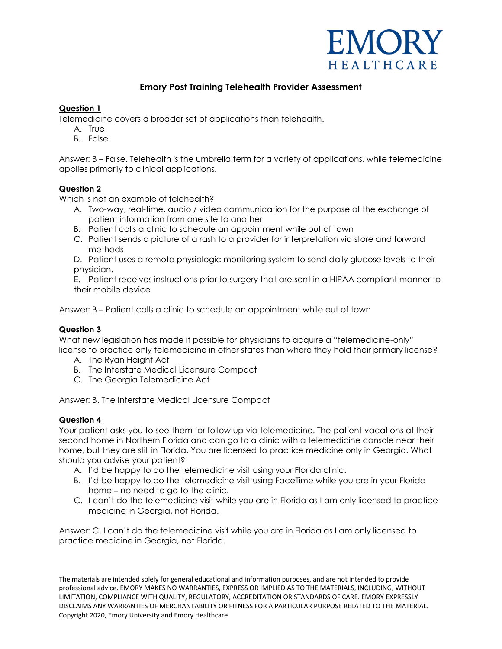

## **Emory Post Training Telehealth Provider Assessment**

#### **Question 1**

Telemedicine covers a broader set of applications than telehealth.

- A. True
- B. False

Answer: B – False. Telehealth is the umbrella term for a variety of applications, while telemedicine applies primarily to clinical applications.

## **Question 2**

Which is not an example of telehealth?

- A. Two-way, real-time, audio / video communication for the purpose of the exchange of patient information from one site to another
- B. Patient calls a clinic to schedule an appointment while out of town
- C. Patient sends a picture of a rash to a provider for interpretation via store and forward methods
- D. Patient uses a remote physiologic monitoring system to send daily glucose levels to their physician.

E. Patient receives instructions prior to surgery that are sent in a HIPAA compliant manner to their mobile device

Answer: B – Patient calls a clinic to schedule an appointment while out of town

#### **Question 3**

What new legislation has made it possible for physicians to acquire a "telemedicine-only" license to practice only telemedicine in other states than where they hold their primary license?

- A. The Ryan Haight Act
- B. The Interstate Medical Licensure Compact
- C. The Georgia Telemedicine Act

Answer: B. The Interstate Medical Licensure Compact

#### **Question 4**

Your patient asks you to see them for follow up via telemedicine. The patient vacations at their second home in Northern Florida and can go to a clinic with a telemedicine console near their home, but they are still in Florida. You are licensed to practice medicine only in Georgia. What should you advise your patient?

- A. I'd be happy to do the telemedicine visit using your Florida clinic.
- B. I'd be happy to do the telemedicine visit using FaceTime while you are in your Florida home – no need to go to the clinic.
- C. I can't do the telemedicine visit while you are in Florida as I am only licensed to practice medicine in Georgia, not Florida.

Answer: C. I can't do the telemedicine visit while you are in Florida as I am only licensed to practice medicine in Georgia, not Florida.

The materials are intended solely for general educational and information purposes, and are not intended to provide professional advice. EMORY MAKES NO WARRANTIES, EXPRESS OR IMPLIED AS TO THE MATERIALS, INCLUDING, WITHOUT LIMITATION, COMPLIANCE WITH QUALITY, REGULATORY, ACCREDITATION OR STANDARDS OF CARE. EMORY EXPRESSLY DISCLAIMS ANY WARRANTIES OF MERCHANTABILITY OR FITNESS FOR A PARTICULAR PURPOSE RELATED TO THE MATERIAL. Copyright 2020, Emory University and Emory Healthcare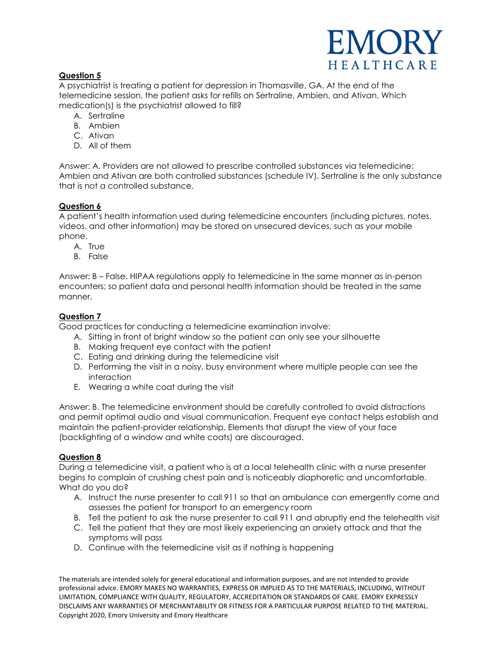# EMOR HEALTHCARE

## **Question 5**

A psychiatrist is treating a patient for depression in Thomasville, GA. At the end of the telemedicine session, the patient asks for refills on Sertraline, Ambien, and Ativan. Which medication(s) is the psychiatrist allowed to fill?

- A. Sertraline
- B. Ambien
- C. Ativan
- D. All of them

Answer: A. Providers are not allowed to prescribe controlled substances via telemedicine; Ambien and Ativan are both controlled substances (schedule IV). Sertraline is the only substance that is not a controlled substance.

#### **Question 6**

A patient's health information used during telemedicine encounters (including pictures, notes, videos, and other information) may be stored on unsecured devices, such as your mobile phone.

- A. True
- B. False

Answer: B – False. HIPAA regulations apply to telemedicine in the same manner as in-person encounters; so patient data and personal health information should be treated in the same manner.

#### **Question 7**

Good practices for conducting a telemedicine examination involve:

- A. Sitting in front of bright window so the patient can only see your silhouette
- B. Making frequent eye contact with the patient
- C. Eating and drinking during the telemedicine visit
- D. Performing the visit in a noisy, busy environment where multiple people can see the interaction
- E. Wearing a white coat during the visit

Answer: B. The telemedicine environment should be carefully controlled to avoid distractions and permit optimal audio and visual communication. Frequent eye contact helps establish and maintain the patient-provider relationship. Elements that disrupt the view of your face (backlighting of a window and white coats) are discouraged.

## **Question 8**

During a telemedicine visit, a patient who is at a local telehealth clinic with a nurse presenter begins to complain of crushing chest pain and is noticeably diaphoretic and uncomfortable. What do you do?

- A. Instruct the nurse presenter to call 911 so that an ambulance can emergently come and assesses the patient for transport to an emergency room
- B. Tell the patient to ask the nurse presenter to call 911 and abruptly end the telehealth visit
- C. Tell the patient that they are most likely experiencing an anxiety attack and that the symptoms will pass
- D. Continue with the telemedicine visit as if nothing is happening

The materials are intended solely for general educational and information purposes, and are not intended to provide professional advice. EMORY MAKES NO WARRANTIES, EXPRESS OR IMPLIED AS TO THE MATERIALS, INCLUDING, WITHOUT LIMITATION, COMPLIANCE WITH QUALITY, REGULATORY, ACCREDITATION OR STANDARDS OF CARE. EMORY EXPRESSLY DISCLAIMS ANY WARRANTIES OF MERCHANTABILITY OR FITNESS FOR A PARTICULAR PURPOSE RELATED TO THE MATERIAL. Copyright 2020, Emory University and Emory Healthcare